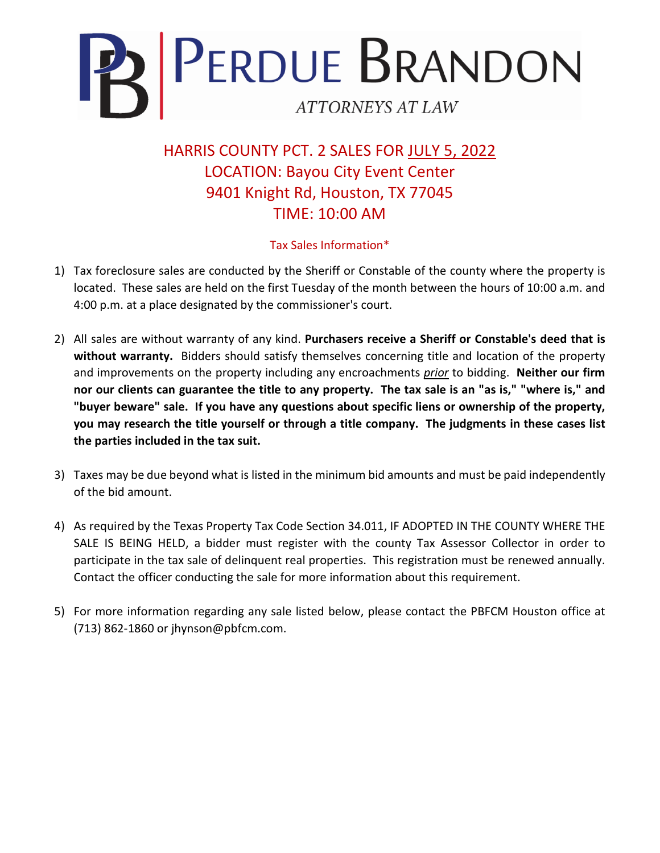

HARRIS COUNTY PCT. 2 SALES FOR JULY 5, 2022 LOCATION: Bayou City Event Center 9401 Knight Rd, Houston, TX 77045 TIME: 10:00 AM

## Tax Sales Information\*

- 1) Tax foreclosure sales are conducted by the Sheriff or Constable of the county where the property is located. These sales are held on the first Tuesday of the month between the hours of 10:00 a.m. and 4:00 p.m. at a place designated by the commissioner's court.
- 2) All sales are without warranty of any kind. **Purchasers receive a Sheriff or Constable's deed that is without warranty.** Bidders should satisfy themselves concerning title and location of the property and improvements on the property including any encroachments *prior* to bidding. **Neither our firm nor our clients can guarantee the title to any property. The tax sale is an "as is," "where is," and "buyer beware" sale. If you have any questions about specific liens or ownership of the property, you may research the title yourself or through a title company. The judgments in these cases list the parties included in the tax suit.**
- 3) Taxes may be due beyond what is listed in the minimum bid amounts and must be paid independently of the bid amount.
- 4) As required by the Texas Property Tax Code Section 34.011, IF ADOPTED IN THE COUNTY WHERE THE SALE IS BEING HELD, a bidder must register with the county Tax Assessor Collector in order to participate in the tax sale of delinquent real properties. This registration must be renewed annually. Contact the officer conducting the sale for more information about this requirement.
- 5) For more information regarding any sale listed below, please contact the PBFCM Houston office at (713) 862-1860 or jhynson@pbfcm.com.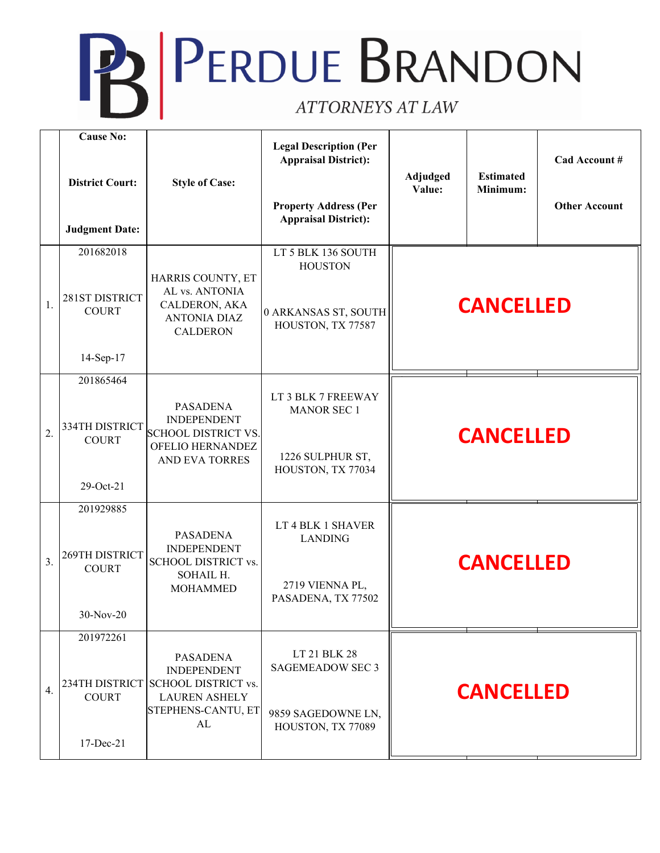## **PERDUE BRANDON** ATTORNEYS AT LAW

|                  | <b>Cause No:</b><br><b>District Court:</b><br><b>Judgment Date:</b> | <b>Style of Case:</b>                                                                                                   | <b>Legal Description (Per</b><br><b>Appraisal District):</b><br><b>Property Address (Per</b><br><b>Appraisal District):</b> | Adjudged<br>Value: | <b>Estimated</b><br>Minimum: | Cad Account #<br><b>Other Account</b> |
|------------------|---------------------------------------------------------------------|-------------------------------------------------------------------------------------------------------------------------|-----------------------------------------------------------------------------------------------------------------------------|--------------------|------------------------------|---------------------------------------|
| 1.               | 201682018<br>281ST DISTRICT<br><b>COURT</b><br>14-Sep-17            | HARRIS COUNTY, ET<br>AL vs. ANTONIA<br>CALDERON, AKA<br><b>ANTONIA DIAZ</b><br><b>CALDERON</b>                          | LT 5 BLK 136 SOUTH<br><b>HOUSTON</b><br>0 ARKANSAS ST, SOUTH<br>HOUSTON, TX 77587                                           | <b>CANCELLED</b>   |                              |                                       |
| $\overline{2}$ . | 201865464<br>334TH DISTRICT<br><b>COURT</b><br>29-Oct-21            | <b>PASADENA</b><br><b>INDEPENDENT</b><br><b>SCHOOL DISTRICT VS.</b><br>OFELIO HERNANDEZ<br><b>AND EVA TORRES</b>        | LT 3 BLK 7 FREEWAY<br><b>MANOR SEC 1</b><br>1226 SULPHUR ST,<br>HOUSTON, TX 77034                                           | <b>CANCELLED</b>   |                              |                                       |
| 3.               | 201929885<br>269TH DISTRICT<br><b>COURT</b><br>$30-Nov-20$          | <b>PASADENA</b><br><b>INDEPENDENT</b><br>SCHOOL DISTRICT vs.<br>SOHAIL H.<br><b>MOHAMMED</b>                            | LT 4 BLK 1 SHAVER<br><b>LANDING</b><br>2719 VIENNA PL,<br>PASADENA, TX 77502                                                |                    | <b>CANCELLED</b>             |                                       |
| 4.               | 201972261<br>234TH DISTRICT<br><b>COURT</b><br>17-Dec-21            | <b>PASADENA</b><br><b>INDEPENDENT</b><br><b>SCHOOL DISTRICT vs.</b><br><b>LAUREN ASHELY</b><br>STEPHENS-CANTU, ET<br>AL | LT 21 BLK 28<br><b>SAGEMEADOW SEC 3</b><br>9859 SAGEDOWNE LN,<br>HOUSTON, TX 77089                                          | <b>CANCELLED</b>   |                              |                                       |